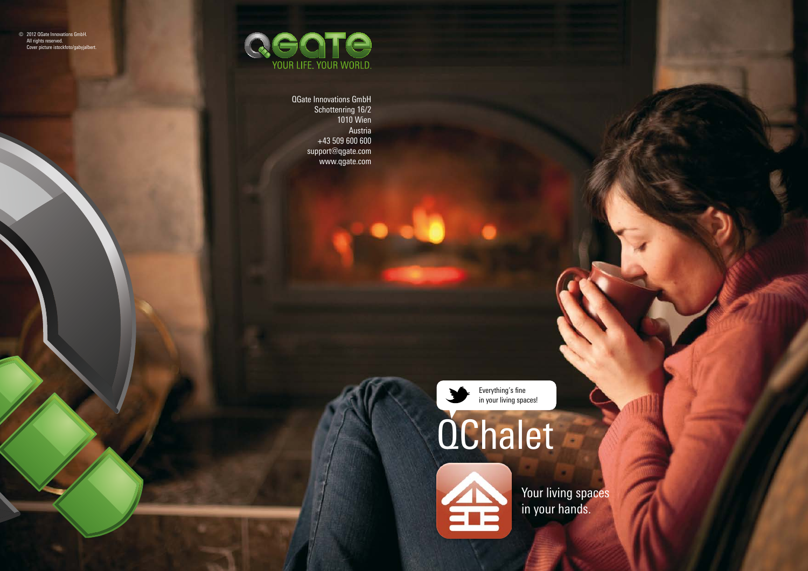© 2012 QGate Innovations GmbH. All rights reserved. Cover picture istockfoto/gabyjalbert.



QGate Innovations GmbH Schottenring 16/2 1010 Wien Austria +43 509 600 600 support@qgate.com www.qgate.com

> Everything's fine in your living spaces!

# **OChalet**



Your living spaces in your hands.